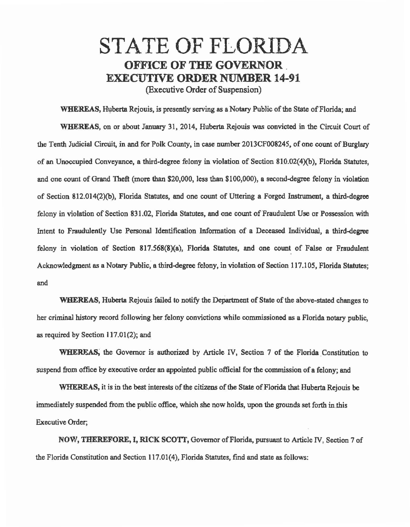## STATE OF FLORIDA OFFICE OF THE GOVERNOR \_ EXECUTIVE ORDER NUMBER 14-91 (Executive Order of Suspension)

WHEREAS, Huberta Rejouis, is presently serving as a Notary Public of the State of Florida; and WHEREAS, on or about January 31, 2014, Huberta Rejouis was convicted in the Circuit Court of the Tenth Judicial Circuit, in and for Polk County, in case number 2013CF008245, of one count of Burglary of an Unoccupied Conveyance, a third-degree felony in violation of Section 810.02(4)(b), Florida Statutes, and one count of Grand Theft (more than \$20,000, less than \$100,000), a second.degree felony in violation of Section 812.014(2)(b), Florida Statutes, and one count of Uttering a Forged Instrument, a third·degrec felony in violation of Section 831.02, Florida Statutes, and one count of Fraudulent Use or Possession with Intent to Fraudulently Use Personal Identification Information of a Deceased Individual, a third.degree felony in violation of Section 817.568(8)(a), Florida Statutes, and one count of False or Fraudulent Acknowledgment as a Notary Public, a third-degree felony, in violation of Section 117.105, Florida Statutes; and

WHEREAS, Huberta Rejouis failed to notify the Department of State of the above-stated changes to her criminal history record following her felony convictions while commissioned as a Florida notary public, as required by Section 117.01(2); and

WHEREAS, the Governor is authorized by Article IV, Section 7 of the Florida Constitution to suspend from office by executive order an appointed public official for the commission of a felony; and

WHEREAS, it is in the best interests of the citizens of the State of Florida that Huberta Rejouis be immediately suspended from the public office, which she now holds, upon the grounds set forth in .this Executive Order;

NOW, THEREFORE, I, RICK SCOTT, Governor of Florida, pursuant to Article IV, Section 7 of the Florida Constitution and Section 117.01(4), Florida Statutes, find and state as follows: